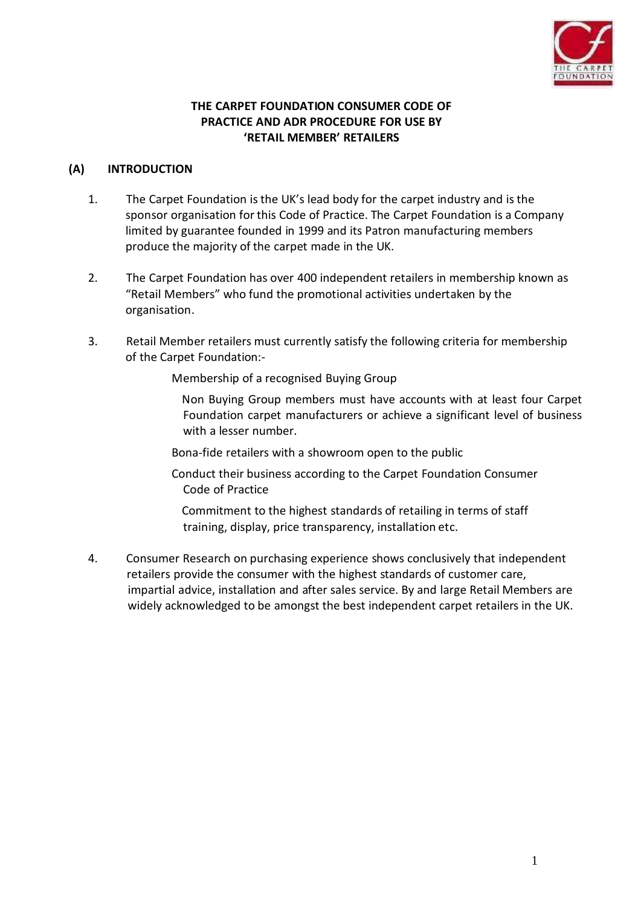

## **THE CARPET FOUNDATION CONSUMER CODE OF PRACTICE AND ADR PROCEDURE FOR USE BY 'RETAIL MEMBER' RETAILERS**

### **(A) INTRODUCTION**

- 1. The Carpet Foundation is the UK's lead body for the carpet industry and is the sponsor organisation for this Code of Practice. The Carpet Foundation is a Company limited by guarantee founded in 1999 and its Patron manufacturing members produce the majority of the carpet made in the UK.
- 2. The Carpet Foundation has over 400 independent retailers in membership known as "Retail Members" who fund the promotional activities undertaken by the organisation.
- 3. Retail Member retailers must currently satisfy the following criteria for membership of the Carpet Foundation:-

Membership of a recognised Buying Group

Non Buying Group members must have accounts with at least four Carpet Foundation carpet manufacturers or achieve a significant level of business with a lesser number.

Bona-fide retailers with a showroom open to the public

Conduct their business according to the Carpet Foundation Consumer Code of Practice

Commitment to the highest standards of retailing in terms of staff training, display, price transparency, installation etc.

4. Consumer Research on purchasing experience shows conclusively that independent retailers provide the consumer with the highest standards of customer care, impartial advice, installation and after sales service. By and large Retail Members are widely acknowledged to be amongst the best independent carpet retailers in the UK.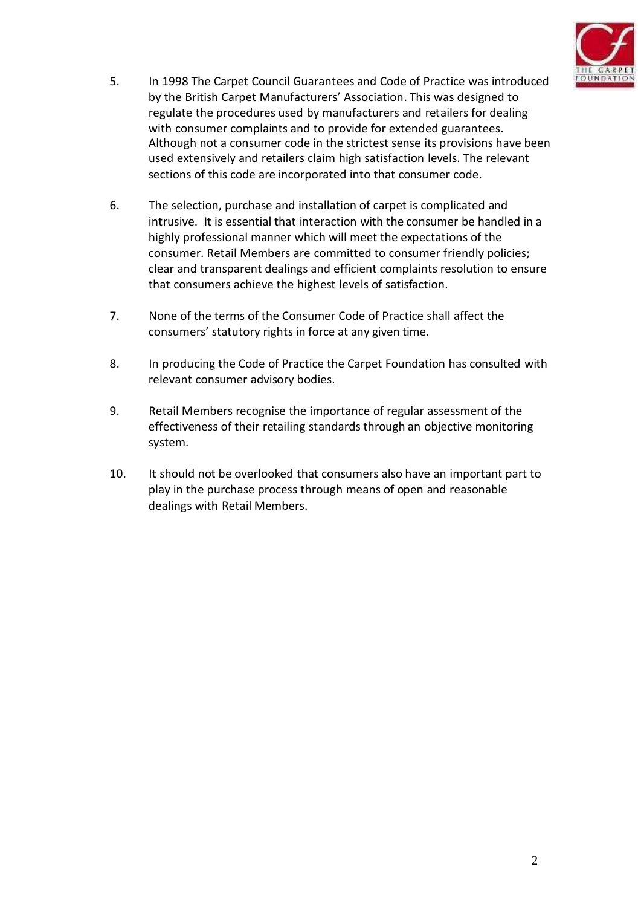

- 5. In 1998 The Carpet Council Guarantees and Code of Practice was introduced by the British Carpet Manufacturers' Association. This was designed to regulate the procedures used by manufacturers and retailers for dealing with consumer complaints and to provide for extended guarantees. Although not a consumer code in the strictest sense its provisions have been used extensively and retailers claim high satisfaction levels. The relevant sections of this code are incorporated into that consumer code.
- 6. The selection, purchase and installation of carpet is complicated and intrusive. It is essential that interaction with the consumer be handled in a highly professional manner which will meet the expectations of the consumer. Retail Members are committed to consumer friendly policies; clear and transparent dealings and efficient complaints resolution to ensure that consumers achieve the highest levels of satisfaction.
- 7. None of the terms of the Consumer Code of Practice shall affect the consumers' statutory rights in force at any given time.
- 8. In producing the Code of Practice the Carpet Foundation has consulted with relevant consumer advisory bodies.
- 9. Retail Members recognise the importance of regular assessment of the effectiveness of their retailing standards through an objective monitoring system.
- 10. It should not be overlooked that consumers also have an important part to play in the purchase process through means of open and reasonable dealings with Retail Members.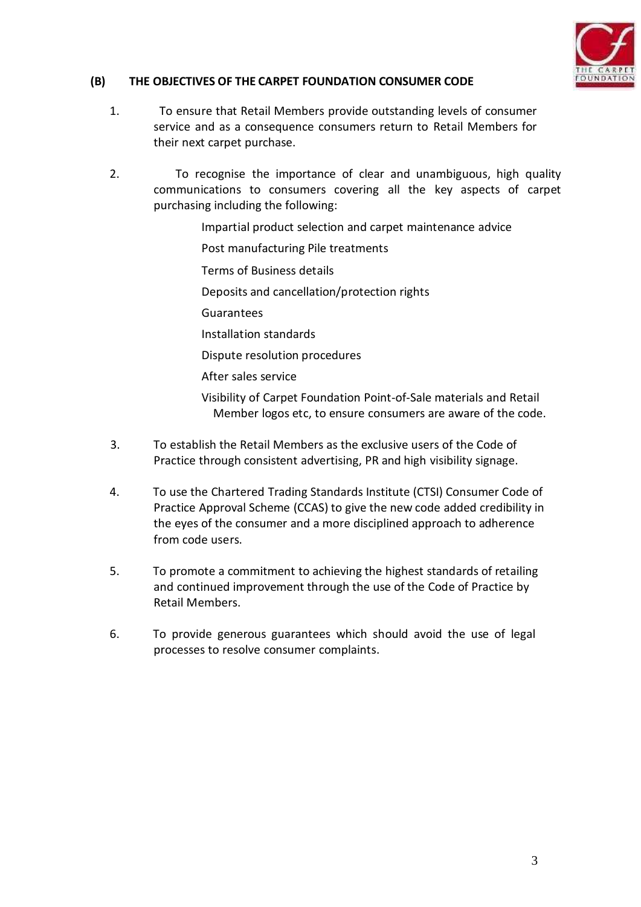

## **(B) THE OBJECTIVES OF THE CARPET FOUNDATION CONSUMER CODE**

- 1. To ensure that Retail Members provide outstanding levels of consumer service and as a consequence consumers return to Retail Members for their next carpet purchase.
- 2. To recognise the importance of clear and unambiguous, high quality communications to consumers covering all the key aspects of carpet purchasing including the following:
	- Impartial product selection and carpet maintenance advice
	- Post manufacturing Pile treatments
	- Terms of Business details
	- Deposits and cancellation/protection rights
	- Guarantees
	- Installation standards
	- Dispute resolution procedures
	- After sales service
	- Visibility of Carpet Foundation Point-of-Sale materials and Retail Member logos etc, to ensure consumers are aware of the code.
- 3. To establish the Retail Members as the exclusive users of the Code of Practice through consistent advertising, PR and high visibility signage.
- 4. To use the Chartered Trading Standards Institute (CTSI) Consumer Code of Practice Approval Scheme (CCAS) to give the new code added credibility in the eyes of the consumer and a more disciplined approach to adherence from code users.
- 5. To promote a commitment to achieving the highest standards of retailing and continued improvement through the use of the Code of Practice by Retail Members.
- 6. To provide generous guarantees which should avoid the use of legal processes to resolve consumer complaints.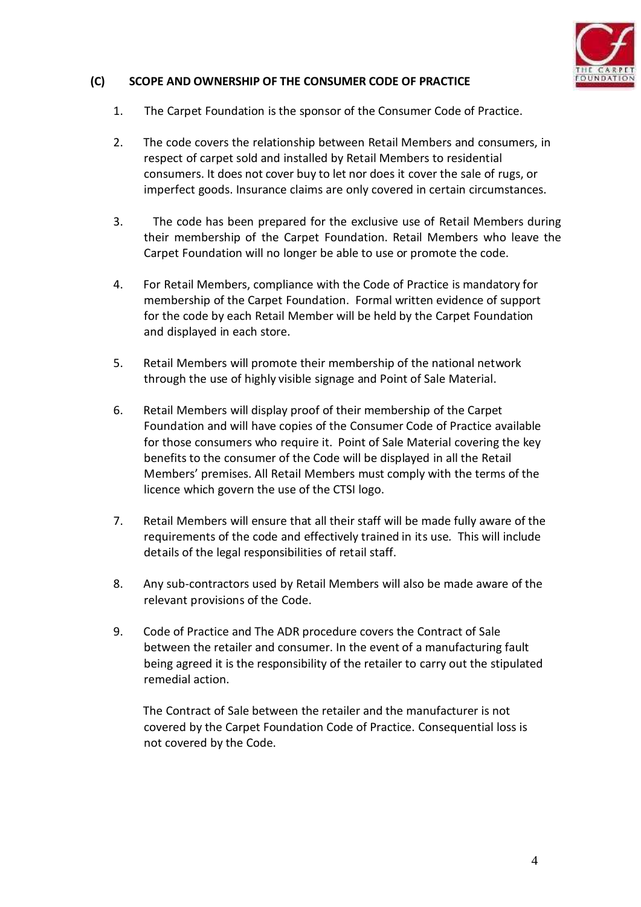

## **(C) SCOPE AND OWNERSHIP OF THE CONSUMER CODE OF PRACTICE**

- 1. The Carpet Foundation is the sponsor of the Consumer Code of Practice.
- 2. The code covers the relationship between Retail Members and consumers, in respect of carpet sold and installed by Retail Members to residential consumers. It does not cover buy to let nor does it cover the sale of rugs, or imperfect goods. Insurance claims are only covered in certain circumstances.
- 3. The code has been prepared for the exclusive use of Retail Members during their membership of the Carpet Foundation. Retail Members who leave the Carpet Foundation will no longer be able to use or promote the code.
- 4. For Retail Members, compliance with the Code of Practice is mandatory for membership of the Carpet Foundation. Formal written evidence of support for the code by each Retail Member will be held by the Carpet Foundation and displayed in each store.
- 5. Retail Members will promote their membership of the national network through the use of highly visible signage and Point of Sale Material.
- 6. Retail Members will display proof of their membership of the Carpet Foundation and will have copies of the Consumer Code of Practice available for those consumers who require it. Point of Sale Material covering the key benefits to the consumer of the Code will be displayed in all the Retail Members' premises. All Retail Members must comply with the terms of the licence which govern the use of the CTSI logo.
- 7. Retail Members will ensure that all their staff will be made fully aware of the requirements of the code and effectively trained in its use*.* This will include details of the legal responsibilities of retail staff.
- 8. Any sub-contractors used by Retail Members will also be made aware of the relevant provisions of the Code.
- 9. Code of Practice and The ADR procedure covers the Contract of Sale between the retailer and consumer. In the event of a manufacturing fault being agreed it is the responsibility of the retailer to carry out the stipulated remedial action.

The Contract of Sale between the retailer and the manufacturer is not covered by the Carpet Foundation Code of Practice. Consequential loss is not covered by the Code.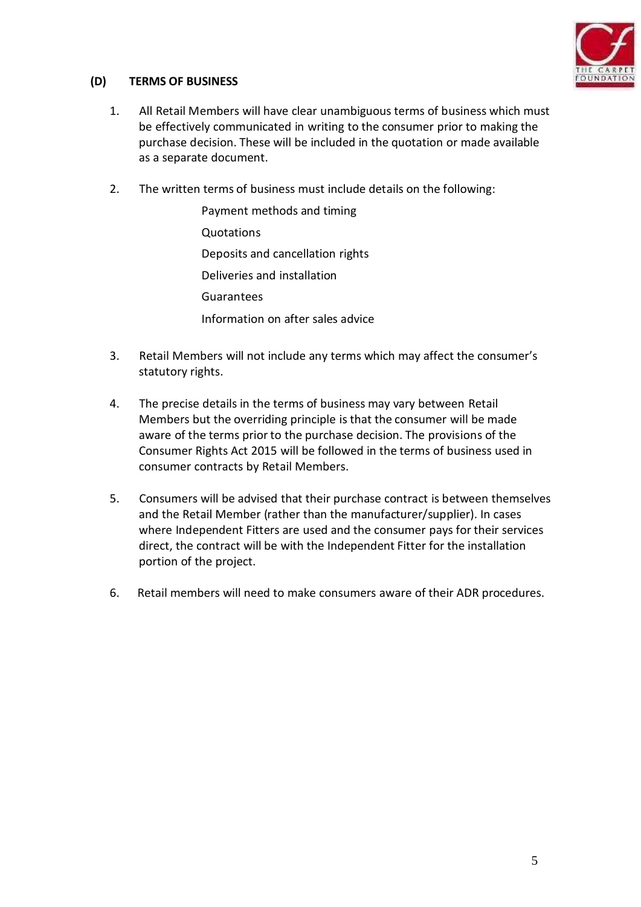

## **(D) TERMS OF BUSINESS**

- 1. All Retail Members will have clear unambiguous terms of business which must be effectively communicated in writing to the consumer prior to making the purchase decision. These will be included in the quotation or made available as a separate document.
- 2. The written terms of business must include details on the following:
	- Payment methods and timing Quotations Deposits and cancellation rights Deliveries and installation Guarantees Information on after sales advice
- 3. Retail Members will not include any terms which may affect the consumer's statutory rights.
- 4. The precise details in the terms of business may vary between Retail Members but the overriding principle is that the consumer will be made aware of the terms prior to the purchase decision. The provisions of the Consumer Rights Act 2015 will be followed in the terms of business used in consumer contracts by Retail Members.
- 5. Consumers will be advised that their purchase contract is between themselves and the Retail Member (rather than the manufacturer/supplier). In cases where Independent Fitters are used and the consumer pays for their services direct, the contract will be with the Independent Fitter for the installation portion of the project.
- 6. Retail members will need to make consumers aware of their ADR procedures.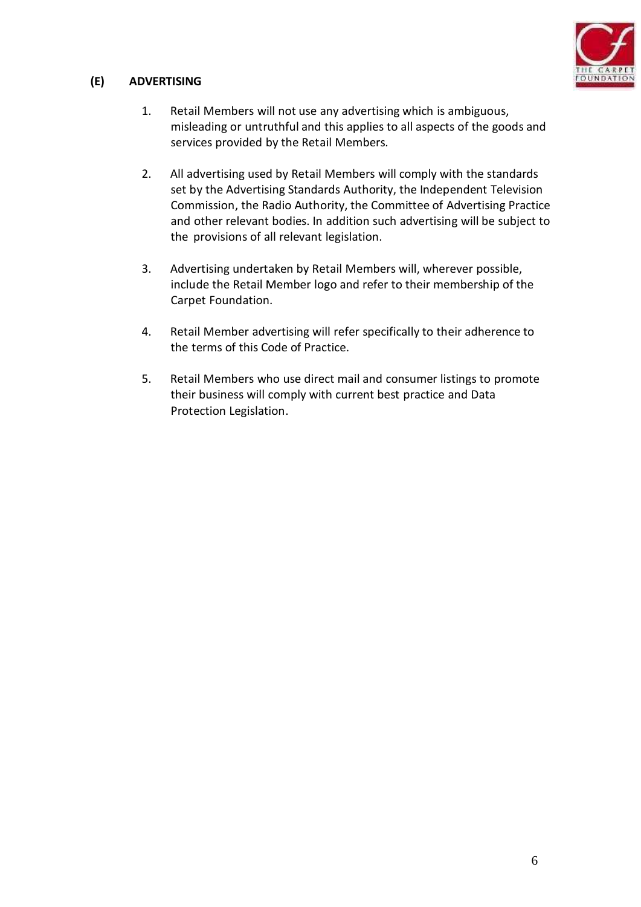

# **(E) ADVERTISING**

- 1. Retail Members will not use any advertising which is ambiguous, misleading or untruthful and this applies to all aspects of the goods and services provided by the Retail Members*.*
- 2. All advertising used by Retail Members will comply with the standards set by the Advertising Standards Authority, the Independent Television Commission, the Radio Authority, the Committee of Advertising Practice and other relevant bodies. In addition such advertising will be subject to the provisions of all relevant legislation.
- 3. Advertising undertaken by Retail Members will, wherever possible, include the Retail Member logo and refer to their membership of the Carpet Foundation.
- 4. Retail Member advertising will refer specifically to their adherence to the terms of this Code of Practice.
- 5. Retail Members who use direct mail and consumer listings to promote their business will comply with current best practice and Data Protection Legislation.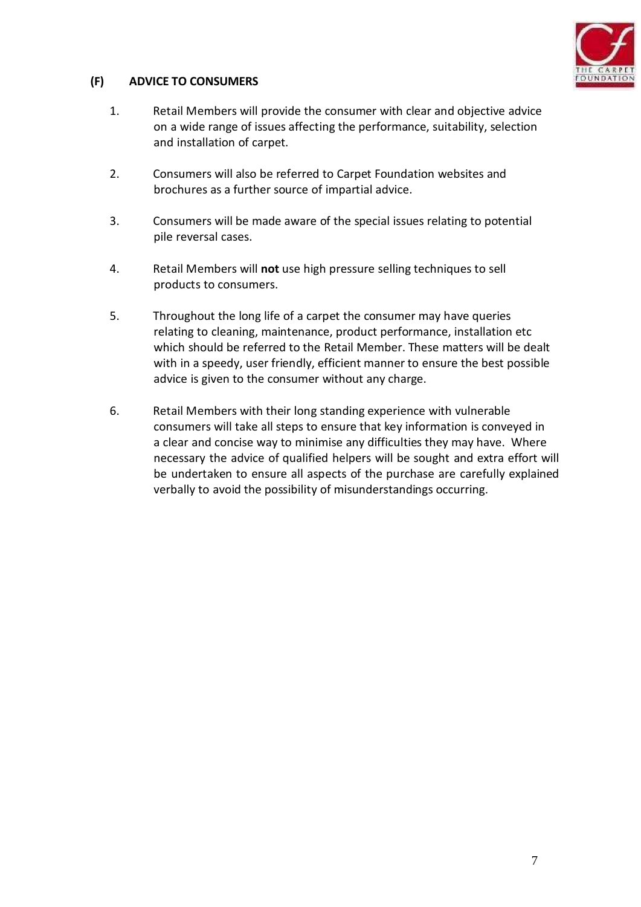

# **(F) ADVICE TO CONSUMERS**

- 1. Retail Members will provide the consumer with clear and objective advice on a wide range of issues affecting the performance, suitability, selection and installation of carpet.
- 2. Consumers will also be referred to Carpet Foundation websites and brochures as a further source of impartial advice.
- 3. Consumers will be made aware of the special issues relating to potential pile reversal cases.
- 4. Retail Members will **not** use high pressure selling techniques to sell products to consumers.
- 5. Throughout the long life of a carpet the consumer may have queries relating to cleaning, maintenance, product performance, installation etc which should be referred to the Retail Member. These matters will be dealt with in a speedy, user friendly, efficient manner to ensure the best possible advice is given to the consumer without any charge.
- 6. Retail Members with their long standing experience with vulnerable consumers will take all steps to ensure that key information is conveyed in a clear and concise way to minimise any difficulties they may have. Where necessary the advice of qualified helpers will be sought and extra effort will be undertaken to ensure all aspects of the purchase are carefully explained verbally to avoid the possibility of misunderstandings occurring.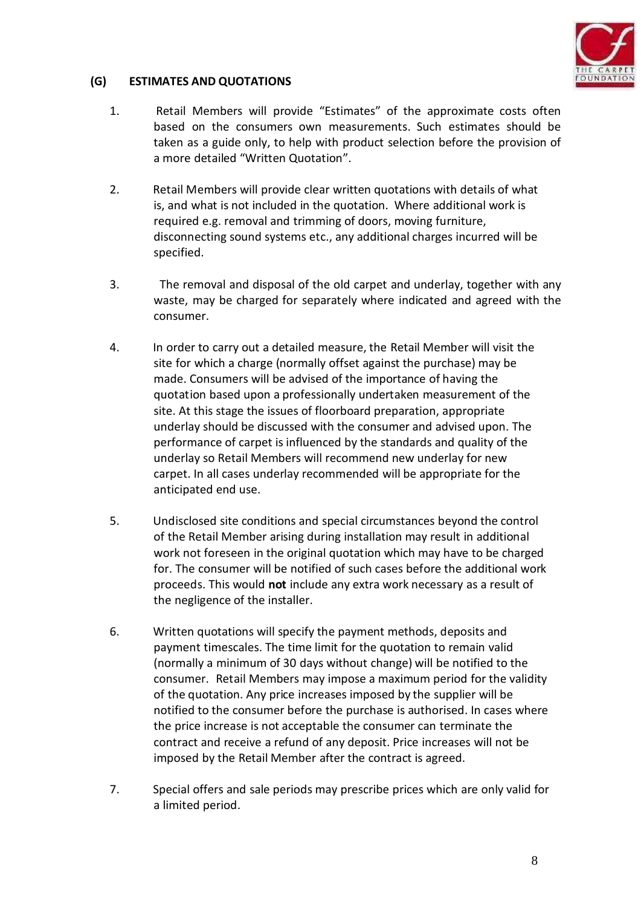

### **(G) ESTIMATES AND QUOTATIONS**

- 1. Retail Members will provide "Estimates" of the approximate costs often based on the consumers own measurements. Such estimates should be taken as a guide only, to help with product selection before the provision of a more detailed "Written Quotation".
- 2. Retail Members will provide clear written quotations with details of what is, and what is not included in the quotation. Where additional work is required e.g. removal and trimming of doors, moving furniture, disconnecting sound systems etc., any additional charges incurred will be specified.
- 3. The removal and disposal of the old carpet and underlay, together with any waste, may be charged for separately where indicated and agreed with the consumer.
- 4. In order to carry out a detailed measure, the Retail Member will visit the site for which a charge (normally offset against the purchase) may be made. Consumers will be advised of the importance of having the quotation based upon a professionally undertaken measurement of the site. At this stage the issues of floorboard preparation, appropriate underlay should be discussed with the consumer and advised upon. The performance of carpet is influenced by the standards and quality of the underlay so Retail Members will recommend new underlay for new carpet. In all cases underlay recommended will be appropriate for the anticipated end use.
- 5. Undisclosed site conditions and special circumstances beyond the control of the Retail Member arising during installation may result in additional work not foreseen in the original quotation which may have to be charged for. The consumer will be notified of such cases before the additional work proceeds. This would **not** include any extra work necessary as a result of the negligence of the installer.
- 6. Written quotations will specify the payment methods, deposits and payment timescales. The time limit for the quotation to remain valid (normally a minimum of 30 days without change) will be notified to the consumer. Retail Members may impose a maximum period for the validity of the quotation. Any price increases imposed by the supplier will be notified to the consumer before the purchase is authorised. In cases where the price increase is not acceptable the consumer can terminate the contract and receive a refund of any deposit. Price increases will not be imposed by the Retail Member after the contract is agreed.
- 7. Special offers and sale periods may prescribe prices which are only valid for a limited period.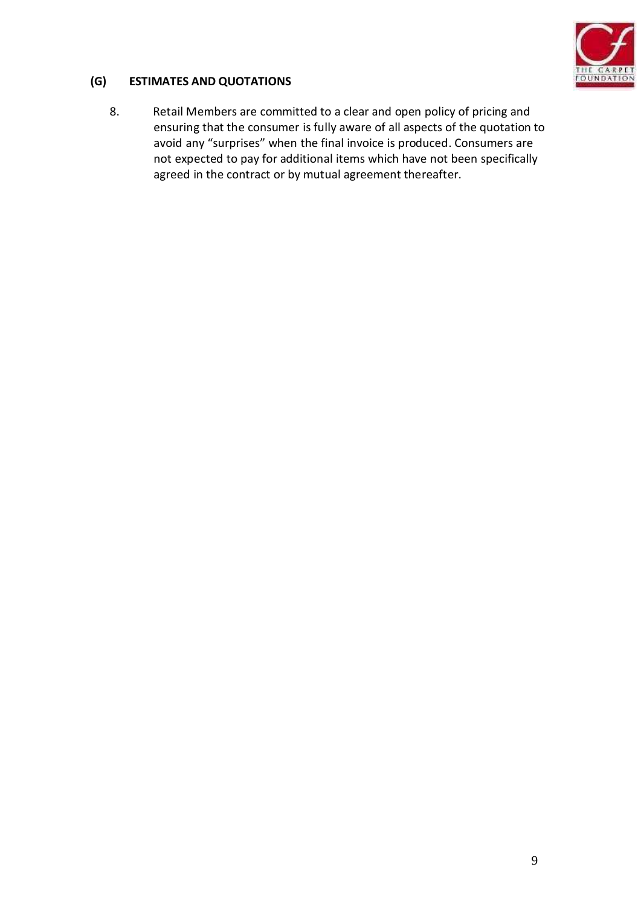

## **(G) ESTIMATES AND QUOTATIONS**

8. Retail Members are committed to a clear and open policy of pricing and ensuring that the consumer is fully aware of all aspects of the quotation to avoid any "surprises" when the final invoice is produced. Consumers are not expected to pay for additional items which have not been specifically agreed in the contract or by mutual agreement thereafter.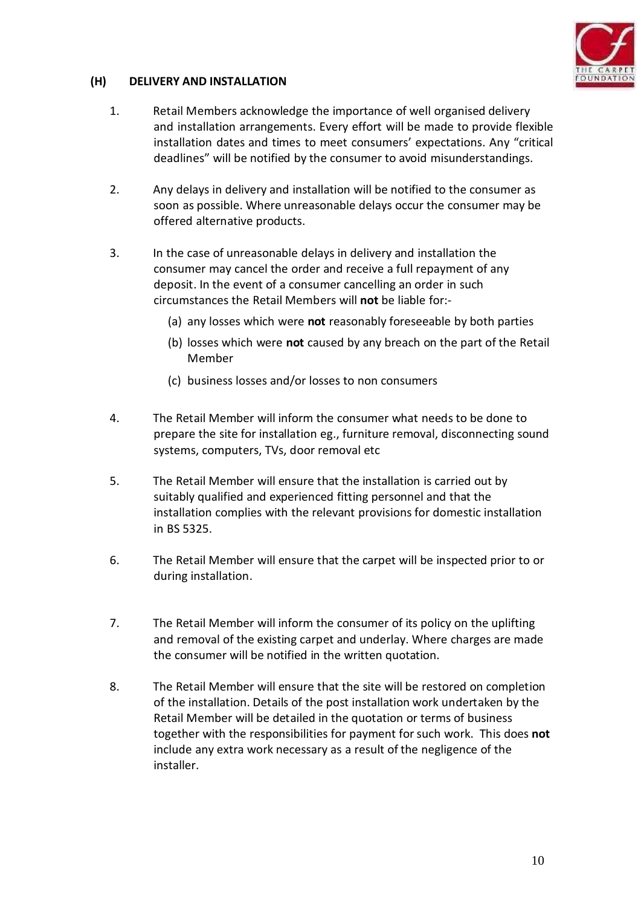

## **(H) DELIVERY AND INSTALLATION**

- 1. Retail Members acknowledge the importance of well organised delivery and installation arrangements. Every effort will be made to provide flexible installation dates and times to meet consumers' expectations. Any "critical deadlines" will be notified by the consumer to avoid misunderstandings.
- 2. Any delays in delivery and installation will be notified to the consumer as soon as possible. Where unreasonable delays occur the consumer may be offered alternative products.
- 3. In the case of unreasonable delays in delivery and installation the consumer may cancel the order and receive a full repayment of any deposit. In the event of a consumer cancelling an order in such circumstances the Retail Members will **not** be liable for:-
	- (a) any losses which were **not** reasonably foreseeable by both parties
	- (b) losses which were **not** caused by any breach on the part of the Retail Member
	- (c) business losses and/or losses to non consumers
- 4. The Retail Member will inform the consumer what needs to be done to prepare the site for installation eg., furniture removal, disconnecting sound systems, computers, TVs, door removal etc
- 5. The Retail Member will ensure that the installation is carried out by suitably qualified and experienced fitting personnel and that the installation complies with the relevant provisions for domestic installation in BS 5325.
- 6. The Retail Member will ensure that the carpet will be inspected prior to or during installation.
- 7. The Retail Member will inform the consumer of its policy on the uplifting and removal of the existing carpet and underlay. Where charges are made the consumer will be notified in the written quotation.
- 8. The Retail Member will ensure that the site will be restored on completion of the installation. Details of the post installation work undertaken by the Retail Member will be detailed in the quotation or terms of business together with the responsibilities for payment forsuch work. This does **not** include any extra work necessary as a result of the negligence of the installer.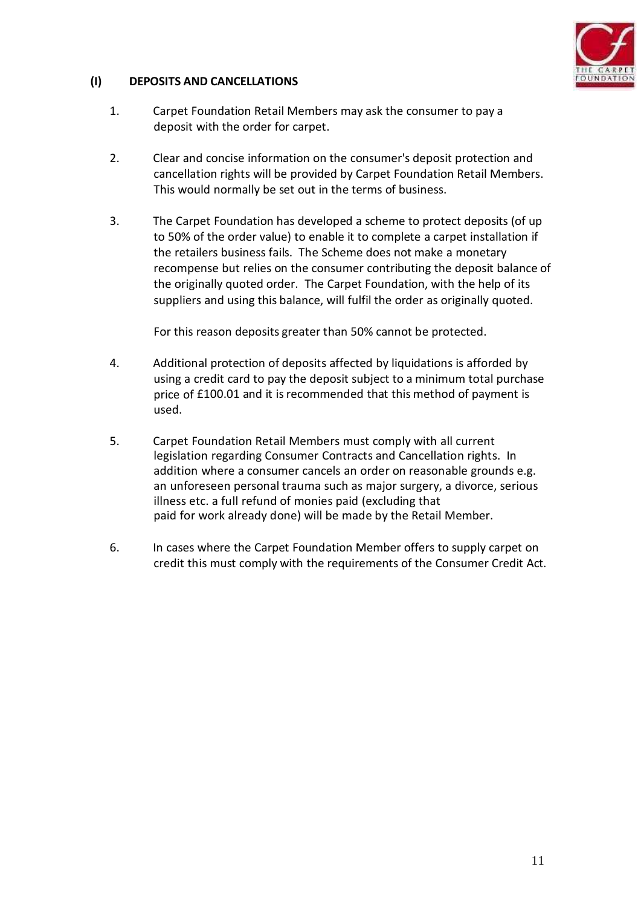

## **(I) DEPOSITS AND CANCELLATIONS**

- 1. Carpet Foundation Retail Members may ask the consumer to pay a deposit with the order for carpet.
- 2. Clear and concise information on the consumer's deposit protection and cancellation rights will be provided by Carpet Foundation Retail Members. This would normally be set out in the terms of business.
- 3. The Carpet Foundation has developed a scheme to protect deposits (of up to 50% of the order value) to enable it to complete a carpet installation if the retailers business fails. The Scheme does not make a monetary recompense but relies on the consumer contributing the deposit balance of the originally quoted order. The Carpet Foundation, with the help of its suppliers and using this balance, will fulfil the order as originally quoted.

For this reason deposits greater than 50% cannot be protected.

- 4. Additional protection of deposits affected by liquidations is afforded by using a credit card to pay the deposit subject to a minimum total purchase price of £100.01 and it is recommended that this method of payment is used.
- 5. Carpet Foundation Retail Members must comply with all current legislation regarding Consumer Contracts and Cancellation rights. In addition where a consumer cancels an order on reasonable grounds e.g. an unforeseen personal trauma such as major surgery, a divorce, serious illness etc. a full refund of monies paid (excluding that paid for work already done) will be made by the Retail Member.
- 6. In cases where the Carpet Foundation Member offers to supply carpet on credit this must comply with the requirements of the Consumer Credit Act.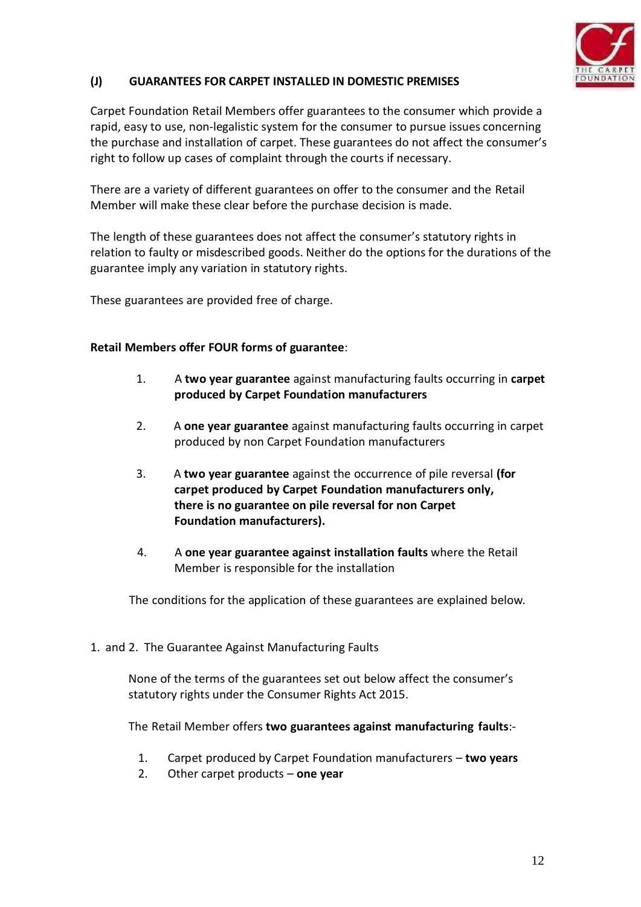

### **(J) GUARANTEES FOR CARPET INSTALLED IN DOMESTIC PREMISES**

Carpet Foundation Retail Members offer guarantees to the consumer which provide a rapid, easy to use, non-legalistic system for the consumer to pursue issues concerning the purchase and installation of carpet. These guarantees do not affect the consumer's right to follow up cases of complaint through the courts if necessary.

There are a variety of different guarantees on offer to the consumer and the Retail Member will make these clear before the purchase decision is made.

The length of these guarantees does not affect the consumer's statutory rights in relation to faulty or misdescribed goods. Neither do the options for the durations of the guarantee imply any variation in statutory rights.

These guarantees are provided free of charge.

#### **Retail Members offer FOUR forms of guarantee**:

- 1. A **two year guarantee** against manufacturing faults occurring in **carpet produced by Carpet Foundation manufacturers**
- 2. A **one year guarantee** against manufacturing faults occurring in carpet produced by non Carpet Foundation manufacturers
- 3. A **two year guarantee** against the occurrence of pile reversal **(for carpet produced by Carpet Foundation manufacturers only, there is no guarantee on pile reversal for non Carpet Foundation manufacturers).**
- 4. A **one year guarantee against installation faults** where the Retail Member is responsible for the installation

The conditions for the application of these guarantees are explained below.

1. and 2. The Guarantee Against Manufacturing Faults

None of the terms of the guarantees set out below affect the consumer's statutory rights under the Consumer Rights Act 2015.

The Retail Member offers **two guarantees against manufacturing faults**:-

- 1. Carpet produced by Carpet Foundation manufacturers **two years**
- 2. Other carpet products **one year**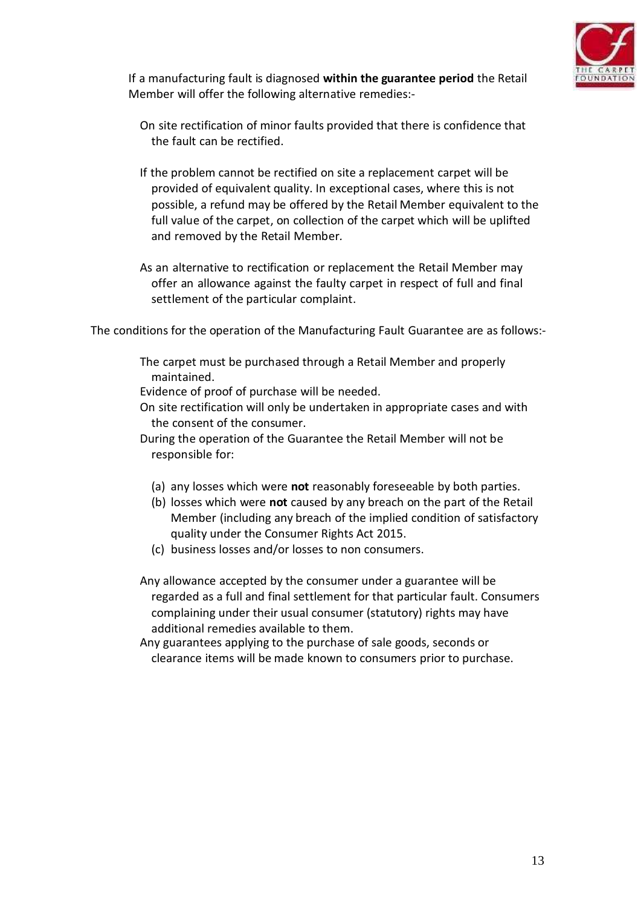

If a manufacturing fault is diagnosed **within the guarantee period** the Retail Member will offer the following alternative remedies:-

- On site rectification of minor faults provided that there is confidence that the fault can be rectified.
- If the problem cannot be rectified on site a replacement carpet will be provided of equivalent quality. In exceptional cases, where this is not possible, a refund may be offered by the Retail Member equivalent to the full value of the carpet, on collection of the carpet which will be uplifted and removed by the Retail Member*.*
- As an alternative to rectification or replacement the Retail Member may offer an allowance against the faulty carpet in respect of full and final settlement of the particular complaint.

The conditions for the operation of the Manufacturing Fault Guarantee are as follows:-

- The carpet must be purchased through a Retail Member and properly maintained.
- Evidence of proof of purchase will be needed.
- On site rectification will only be undertaken in appropriate cases and with the consent of the consumer.
- During the operation of the Guarantee the Retail Member will not be responsible for:
	- (a) any losses which were **not** reasonably foreseeable by both parties.
	- (b) losses which were **not** caused by any breach on the part of the Retail Member (including any breach of the implied condition of satisfactory quality under the Consumer Rights Act 2015.
	- (c) business losses and/or losses to non consumers.
- Any allowance accepted by the consumer under a guarantee will be regarded as a full and final settlement for that particular fault. Consumers complaining under their usual consumer (statutory) rights may have additional remedies available to them.
- Any guarantees applying to the purchase of sale goods, seconds or clearance items will be made known to consumers prior to purchase.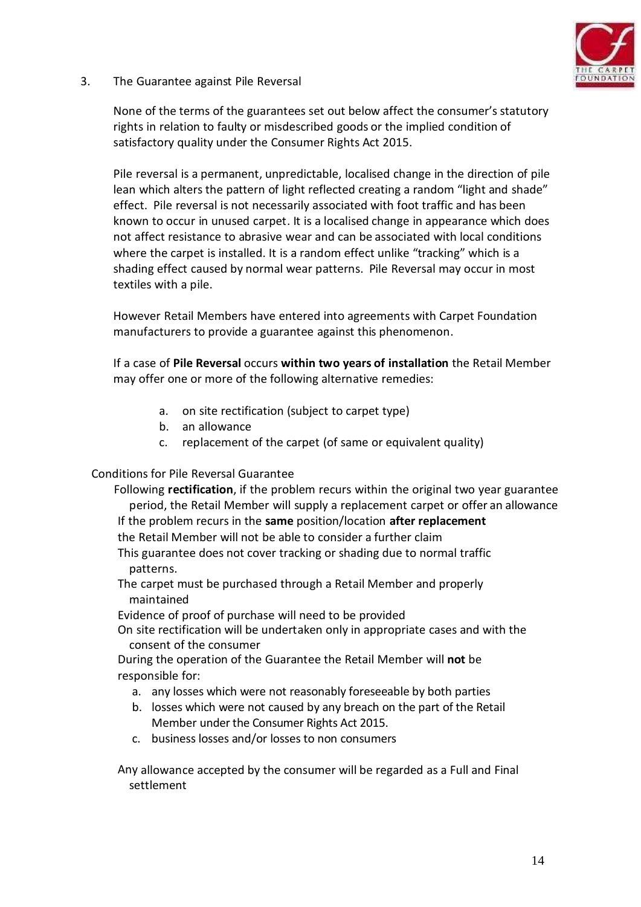

3. The Guarantee against Pile Reversal

None of the terms of the guarantees set out below affect the consumer's statutory rights in relation to faulty or misdescribed goods or the implied condition of satisfactory quality under the Consumer Rights Act 2015.

Pile reversal is a permanent, unpredictable, localised change in the direction of pile lean which alters the pattern of light reflected creating a random "light and shade" effect. Pile reversal is not necessarily associated with foot traffic and has been known to occur in unused carpet. It is a localised change in appearance which does not affect resistance to abrasive wear and can be associated with local conditions where the carpet is installed. It is a random effect unlike "tracking" which is a shading effect caused by normal wear patterns. Pile Reversal may occur in most textiles with a pile.

However Retail Members have entered into agreements with Carpet Foundation manufacturers to provide a guarantee against this phenomenon.

If a case of **Pile Reversal** occurs **within two years of installation** the Retail Member may offer one or more of the following alternative remedies:

- a. on site rectification (subject to carpet type)
- b. an allowance
- c. replacement of the carpet (of same or equivalent quality)

#### Conditions for Pile Reversal Guarantee

Following **rectification**, if the problem recurs within the original two year guarantee period, the Retail Member will supply a replacement carpet or offer an allowance If the problem recurs in the **same** position/location **after replacement** the Retail Member will not be able to consider a further claim This guarantee does not cover tracking or shading due to normal traffic patterns. The carpet must be purchased through a Retail Member and properly maintained Evidence of proof of purchase will need to be provided

On site rectification will be undertaken only in appropriate cases and with the consent of the consumer

During the operation of the Guarantee the Retail Member will **not** be responsible for:

- a. any losses which were not reasonably foreseeable by both parties
- b. losses which were not caused by any breach on the part of the Retail Member under the Consumer Rights Act 2015.
- c. business losses and/or losses to non consumers

Any allowance accepted by the consumer will be regarded as a Full and Final settlement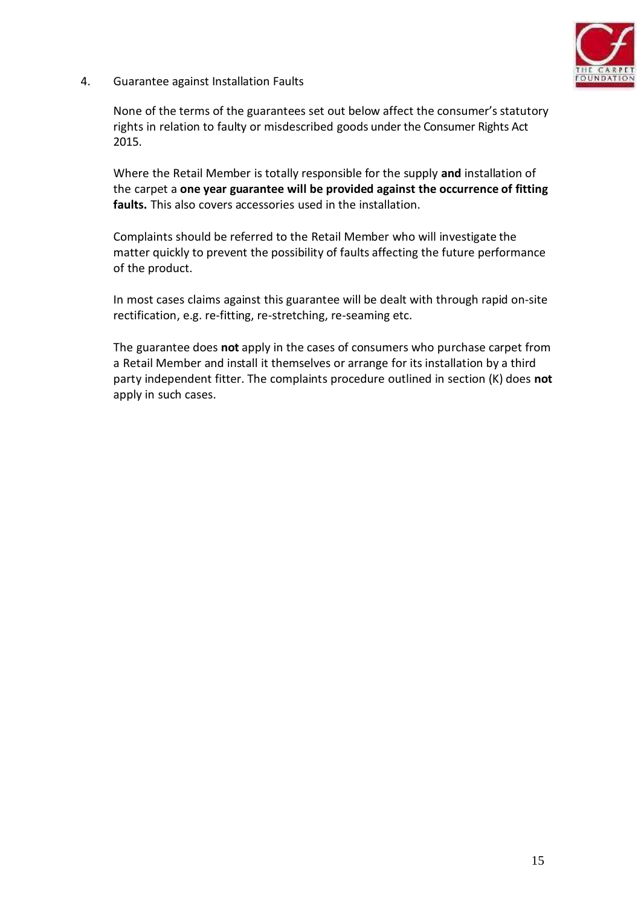

4. Guarantee against Installation Faults

None of the terms of the guarantees set out below affect the consumer's statutory rights in relation to faulty or misdescribed goods under the Consumer Rights Act 2015.

Where the Retail Member is totally responsible for the supply **and** installation of the carpet a **one year guarantee will be provided against the occurrence of fitting faults.** This also covers accessories used in the installation.

Complaints should be referred to the Retail Member who will investigate the matter quickly to prevent the possibility of faults affecting the future performance of the product.

In most cases claims against this guarantee will be dealt with through rapid on-site rectification, e.g. re-fitting, re-stretching, re-seaming etc.

The guarantee does **not** apply in the cases of consumers who purchase carpet from a Retail Member and install it themselves or arrange for its installation by a third party independent fitter. The complaints procedure outlined in section (K) does **not** apply in such cases.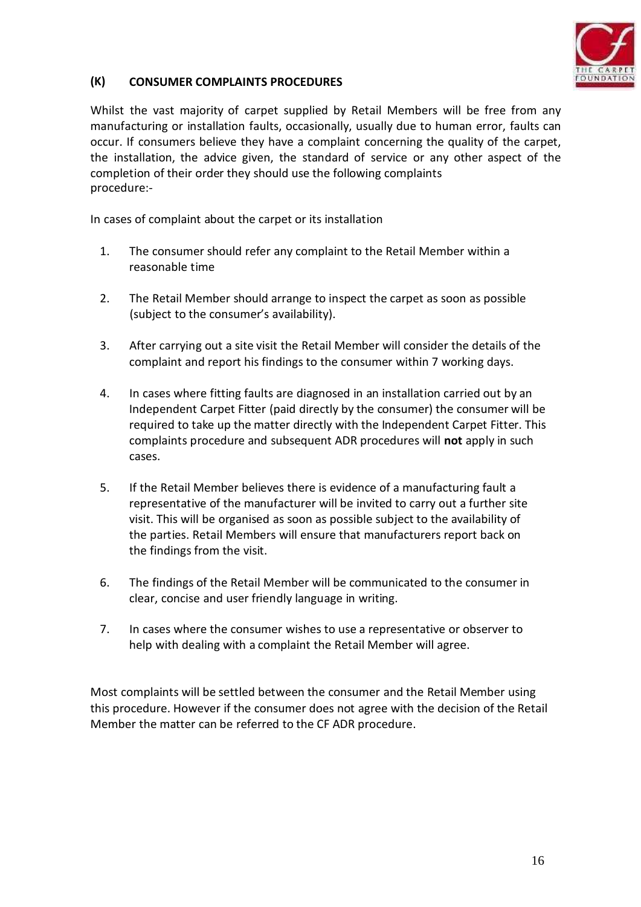

# **(K) CONSUMER COMPLAINTS PROCEDURES**

Whilst the vast majority of carpet supplied by Retail Members will be free from any manufacturing or installation faults, occasionally, usually due to human error, faults can occur. If consumers believe they have a complaint concerning the quality of the carpet, the installation, the advice given, the standard of service or any other aspect of the completion of their order they should use the following complaints procedure:-

In cases of complaint about the carpet or its installation

- 1. The consumer should refer any complaint to the Retail Member within a reasonable time
- 2. The Retail Member should arrange to inspect the carpet as soon as possible (subject to the consumer's availability).
- 3. After carrying out a site visit the Retail Member will consider the details of the complaint and report his findings to the consumer within 7 working days.
- 4. In cases where fitting faults are diagnosed in an installation carried out by an Independent Carpet Fitter (paid directly by the consumer) the consumer will be required to take up the matter directly with the Independent Carpet Fitter. This complaints procedure and subsequent ADR procedures will **not** apply in such cases.
- 5. If the Retail Member believes there is evidence of a manufacturing fault a representative of the manufacturer will be invited to carry out a further site visit. This will be organised as soon as possible subject to the availability of the parties. Retail Members will ensure that manufacturers report back on the findings from the visit.
- 6. The findings of the Retail Member will be communicated to the consumer in clear, concise and user friendly language in writing.
- 7. In cases where the consumer wishes to use a representative or observer to help with dealing with a complaint the Retail Member will agree.

Most complaints will be settled between the consumer and the Retail Member using this procedure. However if the consumer does not agree with the decision of the Retail Member the matter can be referred to the CF ADR procedure.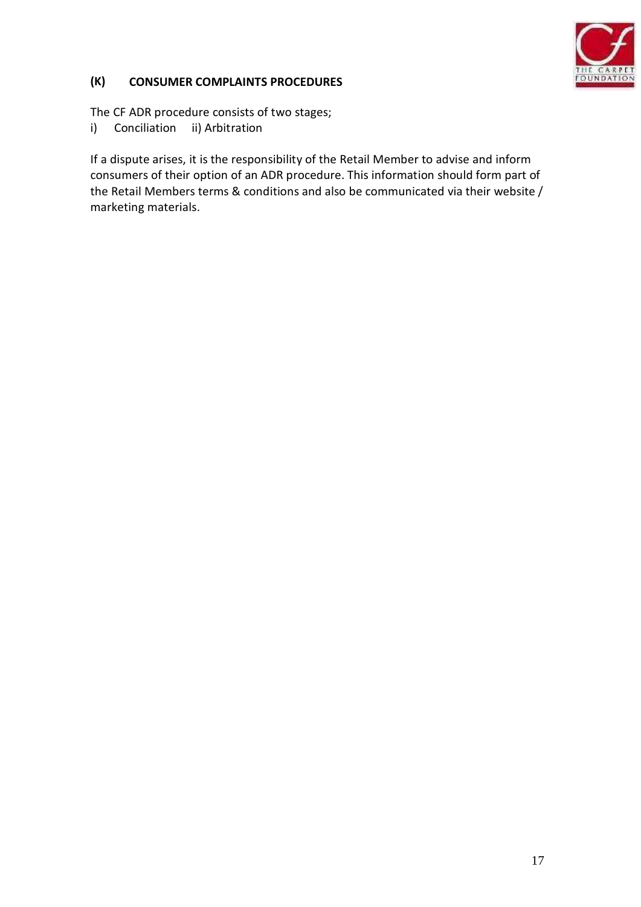

# **(K) CONSUMER COMPLAINTS PROCEDURES**

The CF ADR procedure consists of two stages;

i) Conciliation ii) Arbitration

If a dispute arises, it is the responsibility of the Retail Member to advise and inform consumers of their option of an ADR procedure. This information should form part of the Retail Members terms & conditions and also be communicated via their website / marketing materials.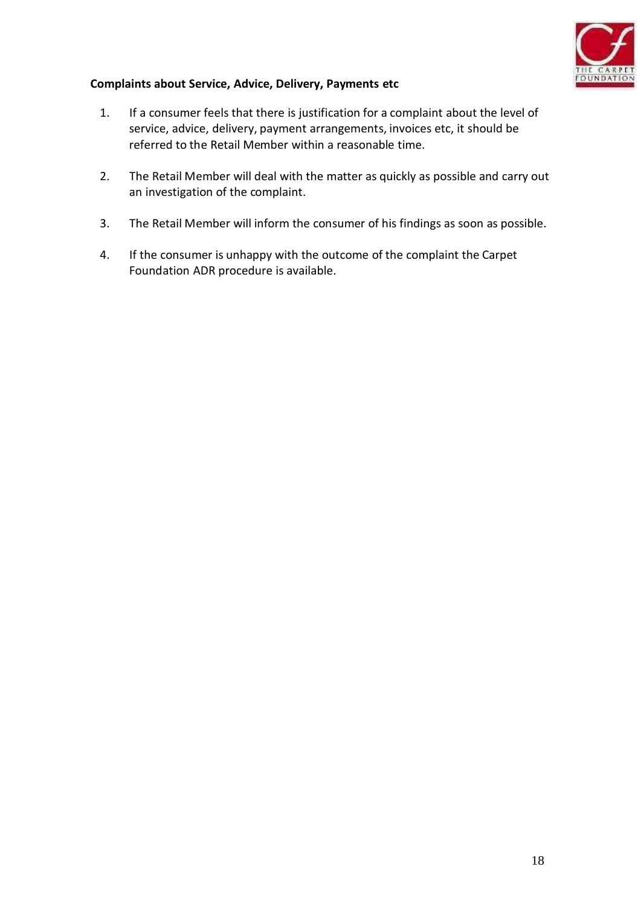

## **Complaints about Service, Advice, Delivery, Payments etc**

- 1. If a consumer feels that there is justification for a complaint about the level of service, advice, delivery, payment arrangements, invoices etc, it should be referred to the Retail Member within a reasonable time.
- 2. The Retail Member will deal with the matter as quickly as possible and carry out an investigation of the complaint.
- 3. The Retail Member will inform the consumer of his findings as soon as possible.
- 4. If the consumer is unhappy with the outcome of the complaint the Carpet Foundation ADR procedure is available.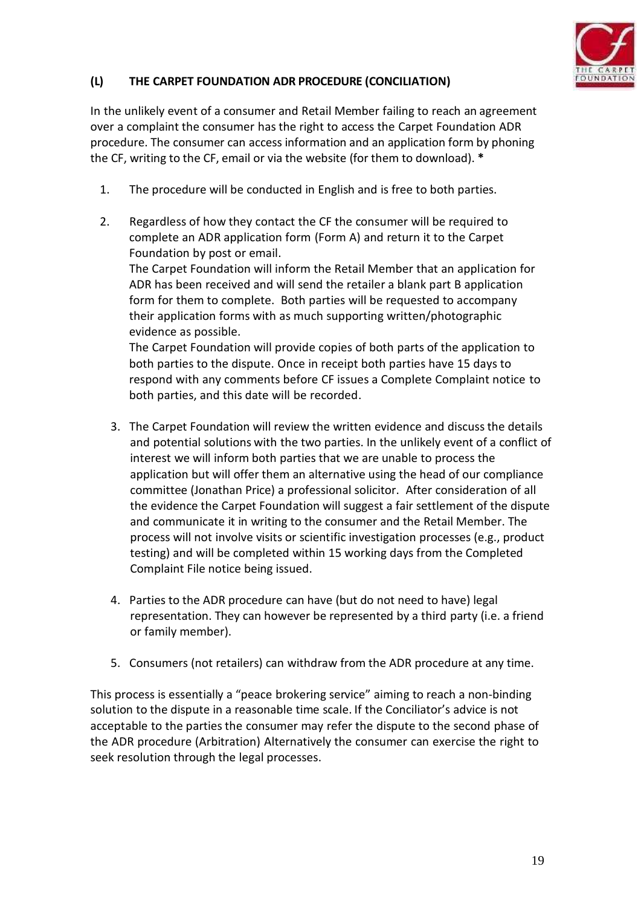

# **(L) THE CARPET FOUNDATION ADR PROCEDURE (CONCILIATION)**

In the unlikely event of a consumer and Retail Member failing to reach an agreement over a complaint the consumer has the right to access the Carpet Foundation ADR procedure. The consumer can access information and an application form by phoning the CF, writing to the CF, email or via the website (for them to download). **\***

- 1. The procedure will be conducted in English and is free to both parties.
- 2. Regardless of how they contact the CF the consumer will be required to complete an ADR application form (Form A) and return it to the Carpet Foundation by post or email.

The Carpet Foundation will inform the Retail Member that an application for ADR has been received and will send the retailer a blank part B application form for them to complete. Both parties will be requested to accompany their application forms with as much supporting written/photographic evidence as possible.

The Carpet Foundation will provide copies of both parts of the application to both parties to the dispute. Once in receipt both parties have 15 days to respond with any comments before CF issues a Complete Complaint notice to both parties, and this date will be recorded.

- 3. The Carpet Foundation will review thewritten evidence and discuss the details and potential solutions with the two parties. In the unlikely event of a conflict of interest we will inform both parties that we are unable to process the application but will offer them an alternative using the head of our compliance committee (Jonathan Price) a professional solicitor. After consideration of all the evidence the Carpet Foundation will suggest a fair settlement of the dispute and communicate it in writing to the consumer and the Retail Member. The process will not involve visits or scientific investigation processes (e.g., product testing) and will be completed within 15 working days from the Completed Complaint File notice being issued.
- 4. Parties to the ADR procedure can have (but do not need to have) legal representation. They can however be represented by a third party (i.e. a friend or family member).
- 5. Consumers (not retailers) can withdraw from the ADR procedure at any time.

This process is essentially a "peace brokering service" aiming to reach a non-binding solution to the dispute in a reasonable time scale. If the Conciliator's advice is not acceptable to the parties the consumer may refer the dispute to the second phase of the ADR procedure (Arbitration) Alternatively the consumer can exercise the right to seek resolution through the legal processes.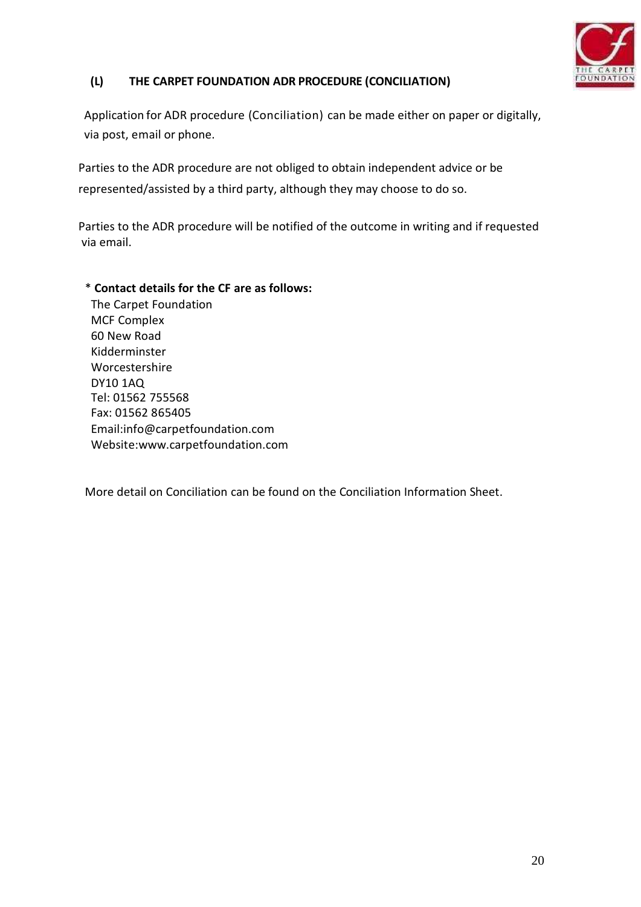

# **(L) THE CARPET FOUNDATION ADR PROCEDURE (CONCILIATION)**

Application for ADR procedure (Conciliation) can be made either on paper or digitally, via post, email or phone.

Parties to the ADR procedure are not obliged to obtain independent advice or be represented/assisted by a third party, although they may choose to do so.

Parties to the ADR procedure will be notified of the outcome in writing and if requested via email.

#### \* **Contact details for the CF are as follows:**

The Carpet Foundation MCF Complex 60 New Road Kidderminster Worcestershire DY10 1AQ Tel: 01562 755568 Fax: 01562 865405 Email:info@carpetfoundation.com Website:www.carpetfoundation.com

More detail on Conciliation can be found on the Conciliation Information Sheet.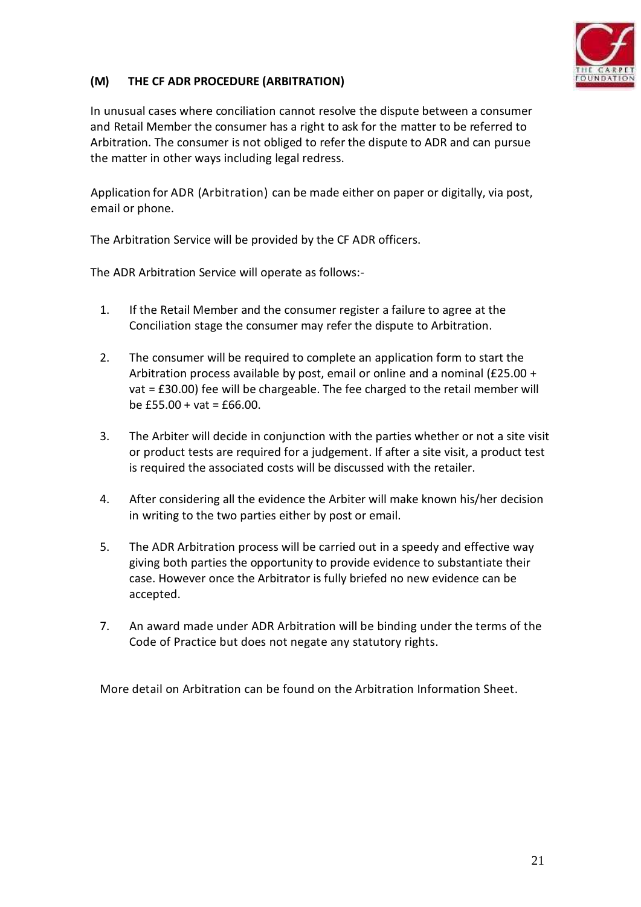

# **(M) THE CF ADR PROCEDURE (ARBITRATION)**

In unusual cases where conciliation cannot resolve the dispute between a consumer and Retail Member the consumer has a right to ask for the matter to be referred to Arbitration. The consumer is not obliged to refer the dispute to ADR and can pursue the matter in other ways including legal redress.

Application for ADR (Arbitration) can be made either on paper or digitally, via post, email or phone.

The Arbitration Service will be provided by the CF ADR officers.

The ADR Arbitration Service will operate as follows:-

- 1. If the Retail Member and the consumer register a failure to agree at the Conciliation stage the consumer may refer the dispute to Arbitration.
- 2. The consumer will be required to complete an application form to start the Arbitration process available by post, email or online and a nominal (£25.00 + vat = £30.00) fee will be chargeable. The fee charged to the retail member will be £55.00 + vat = £66.00.
- 3. The Arbiter will decide in conjunction with the parties whether or not a site visit or product tests are required for a judgement. If after a site visit, a product test is required the associated costs will be discussed with the retailer.
- 4. After considering all the evidence the Arbiter will make known his/her decision in writing to the two parties either by post or email.
- 5. The ADR Arbitration process will be carried out in a speedy and effective way giving both parties the opportunity to provide evidence to substantiate their case. However once the Arbitrator is fully briefed no new evidence can be accepted.
- 7. An award made under ADR Arbitration will be binding under the terms of the Code of Practice but does not negate any statutory rights.

More detail on Arbitration can be found on the Arbitration Information Sheet.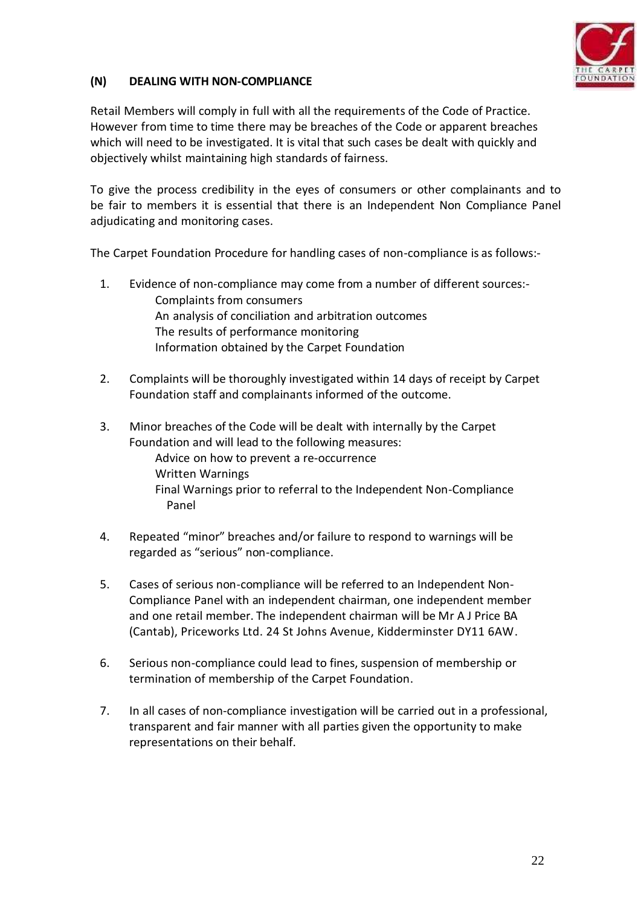

## **(N) DEALING WITH NON-COMPLIANCE**

Retail Members will comply in full with all the requirements of the Code of Practice. However from time to time there may be breaches of the Code or apparent breaches which will need to be investigated. It is vital that such cases be dealt with quickly and objectively whilst maintaining high standards of fairness.

To give the process credibility in the eyes of consumers or other complainants and to be fair to members it is essential that there is an Independent Non Compliance Panel adjudicating and monitoring cases.

The Carpet Foundation Procedure for handling cases of non-compliance is as follows:-

- 1. Evidence of non-compliance may come from a number of different sources:- Complaints from consumers An analysis of conciliation and arbitration outcomes The results of performance monitoring Information obtained by the Carpet Foundation
- 2. Complaints will be thoroughly investigated within 14 days of receipt by Carpet Foundation staff and complainants informed of the outcome.
- 3. Minor breaches of the Code will be dealt with internally by the Carpet Foundation and will lead to the following measures: Advice on how to prevent a re-occurrence Written Warnings Final Warnings prior to referral to the Independent Non-Compliance Panel
- 4. Repeated "minor" breaches and/or failure to respond to warnings will be regarded as "serious" non-compliance.
- 5. Cases of serious non-compliance will be referred to an Independent Non- Compliance Panel with an independent chairman, one independent member and one retail member. The independent chairman will be Mr A J Price BA (Cantab), Priceworks Ltd. 24 St Johns Avenue, Kidderminster DY11 6AW.
- 6. Serious non-compliance could lead to fines, suspension of membership or termination of membership of the Carpet Foundation.
- 7. In all cases of non-compliance investigation will be carried out in a professional, transparent and fair manner with all parties given the opportunity to make representations on their behalf.